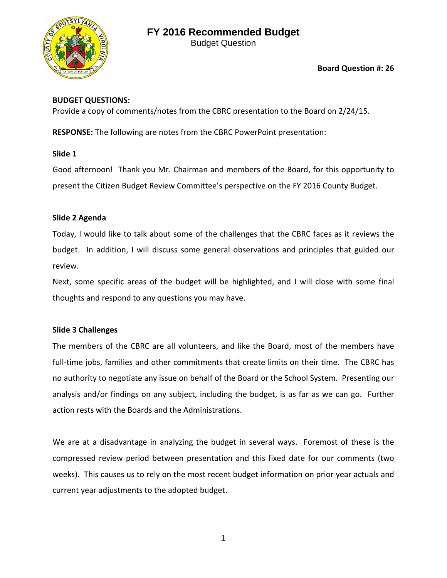

Budget Question

# **Board Question #: 26**

# **BUDGET QUESTIONS:**

Provide a copy of comments/notes from the CBRC presentation to the Board on 2/24/15.

**RESPONSE:** The following are notes from the CBRC PowerPoint presentation:

**Slide 1**

Good afternoon! Thank you Mr. Chairman and members of the Board, for this opportunity to present the Citizen Budget Review Committee's perspective on the FY 2016 County Budget.

## **Slide 2 Agenda**

Today, I would like to talk about some of the challenges that the CBRC faces as it reviews the budget. In addition, I will discuss some general observations and principles that guided our review.

Next, some specific areas of the budget will be highlighted, and I will close with some final thoughts and respond to any questions you may have.

# **Slide 3 Challenges**

The members of the CBRC are all volunteers, and like the Board, most of the members have full-time jobs, families and other commitments that create limits on their time. The CBRC has no authority to negotiate any issue on behalf of the Board or the School System. Presenting our analysis and/or findings on any subject, including the budget, is as far as we can go. Further action rests with the Boards and the Administrations.

We are at a disadvantage in analyzing the budget in several ways. Foremost of these is the compressed review period between presentation and this fixed date for our comments (two weeks). This causes us to rely on the most recent budget information on prior year actuals and current year adjustments to the adopted budget.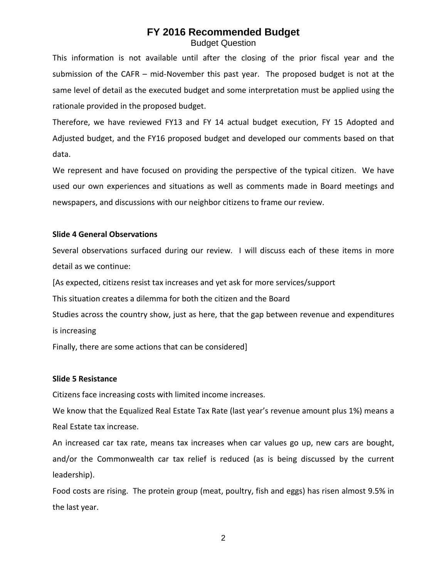# **FY 2016 Recommended Budget** Budget Question

This information is not available until after the closing of the prior fiscal year and the submission of the CAFR – mid-November this past year. The proposed budget is not at the same level of detail as the executed budget and some interpretation must be applied using the rationale provided in the proposed budget.

Therefore, we have reviewed FY13 and FY 14 actual budget execution, FY 15 Adopted and Adjusted budget, and the FY16 proposed budget and developed our comments based on that data.

We represent and have focused on providing the perspective of the typical citizen. We have used our own experiences and situations as well as comments made in Board meetings and newspapers, and discussions with our neighbor citizens to frame our review.

### **Slide 4 General Observations**

Several observations surfaced during our review. I will discuss each of these items in more detail as we continue:

[As expected, citizens resist tax increases and yet ask for more services/support

This situation creates a dilemma for both the citizen and the Board

Studies across the country show, just as here, that the gap between revenue and expenditures is increasing

Finally, there are some actions that can be considered]

#### **Slide 5 Resistance**

Citizens face increasing costs with limited income increases.

We know that the Equalized Real Estate Tax Rate (last year's revenue amount plus 1%) means a Real Estate tax increase.

An increased car tax rate, means tax increases when car values go up, new cars are bought, and/or the Commonwealth car tax relief is reduced (as is being discussed by the current leadership).

Food costs are rising. The protein group (meat, poultry, fish and eggs) has risen almost 9.5% in the last year.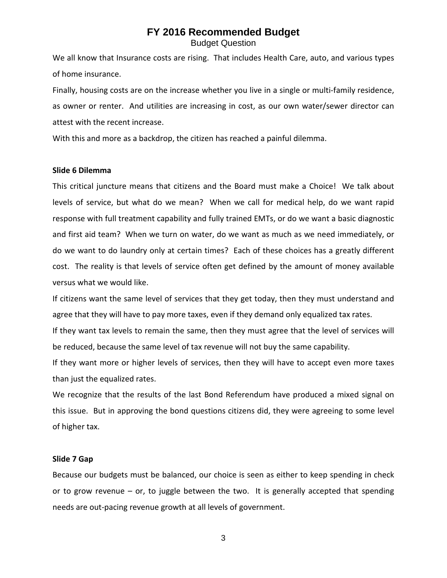## **FY 2016 Recommended Budget** Budget Question

We all know that Insurance costs are rising. That includes Health Care, auto, and various types of home insurance.

Finally, housing costs are on the increase whether you live in a single or multi-family residence, as owner or renter. And utilities are increasing in cost, as our own water/sewer director can attest with the recent increase.

With this and more as a backdrop, the citizen has reached a painful dilemma.

#### **Slide 6 Dilemma**

This critical juncture means that citizens and the Board must make a Choice! We talk about levels of service, but what do we mean? When we call for medical help, do we want rapid response with full treatment capability and fully trained EMTs, or do we want a basic diagnostic and first aid team? When we turn on water, do we want as much as we need immediately, or do we want to do laundry only at certain times? Each of these choices has a greatly different cost. The reality is that levels of service often get defined by the amount of money available versus what we would like.

If citizens want the same level of services that they get today, then they must understand and agree that they will have to pay more taxes, even if they demand only equalized tax rates.

If they want tax levels to remain the same, then they must agree that the level of services will be reduced, because the same level of tax revenue will not buy the same capability.

If they want more or higher levels of services, then they will have to accept even more taxes than just the equalized rates.

We recognize that the results of the last Bond Referendum have produced a mixed signal on this issue. But in approving the bond questions citizens did, they were agreeing to some level of higher tax.

#### **Slide 7 Gap**

Because our budgets must be balanced, our choice is seen as either to keep spending in check or to grow revenue – or, to juggle between the two. It is generally accepted that spending needs are out-pacing revenue growth at all levels of government.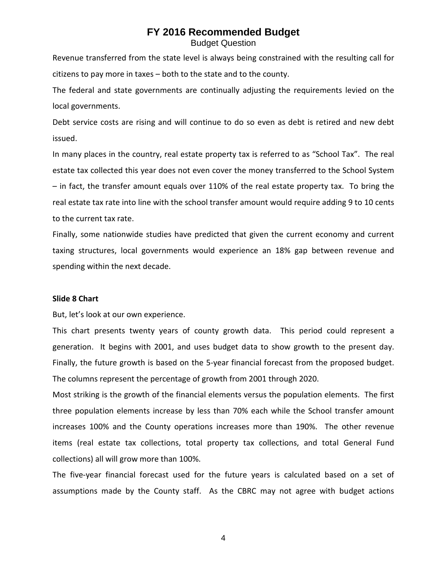Budget Question

Revenue transferred from the state level is always being constrained with the resulting call for citizens to pay more in taxes – both to the state and to the county.

The federal and state governments are continually adjusting the requirements levied on the local governments.

Debt service costs are rising and will continue to do so even as debt is retired and new debt issued.

In many places in the country, real estate property tax is referred to as "School Tax". The real estate tax collected this year does not even cover the money transferred to the School System – in fact, the transfer amount equals over 110% of the real estate property tax. To bring the real estate tax rate into line with the school transfer amount would require adding 9 to 10 cents to the current tax rate.

Finally, some nationwide studies have predicted that given the current economy and current taxing structures, local governments would experience an 18% gap between revenue and spending within the next decade.

#### **Slide 8 Chart**

But, let's look at our own experience.

This chart presents twenty years of county growth data. This period could represent a generation. It begins with 2001, and uses budget data to show growth to the present day. Finally, the future growth is based on the 5-year financial forecast from the proposed budget. The columns represent the percentage of growth from 2001 through 2020.

Most striking is the growth of the financial elements versus the population elements. The first three population elements increase by less than 70% each while the School transfer amount increases 100% and the County operations increases more than 190%. The other revenue items (real estate tax collections, total property tax collections, and total General Fund collections) all will grow more than 100%.

The five-year financial forecast used for the future years is calculated based on a set of assumptions made by the County staff. As the CBRC may not agree with budget actions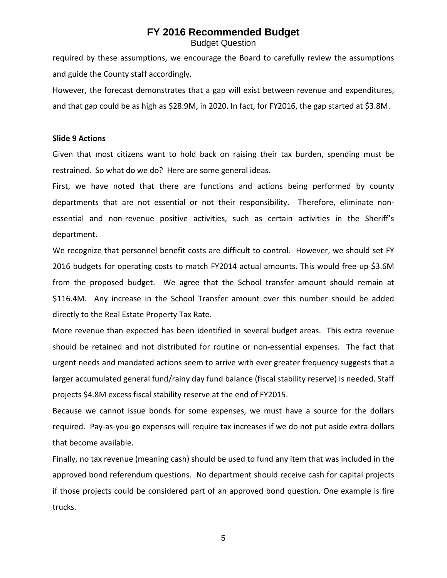Budget Question

required by these assumptions, we encourage the Board to carefully review the assumptions and guide the County staff accordingly.

However, the forecast demonstrates that a gap will exist between revenue and expenditures, and that gap could be as high as \$28.9M, in 2020. In fact, for FY2016, the gap started at \$3.8M.

#### **Slide 9 Actions**

Given that most citizens want to hold back on raising their tax burden, spending must be restrained. So what do we do? Here are some general ideas.

First, we have noted that there are functions and actions being performed by county departments that are not essential or not their responsibility. Therefore, eliminate nonessential and non-revenue positive activities, such as certain activities in the Sheriff's department.

We recognize that personnel benefit costs are difficult to control. However, we should set FY 2016 budgets for operating costs to match FY2014 actual amounts. This would free up \$3.6M from the proposed budget. We agree that the School transfer amount should remain at \$116.4M. Any increase in the School Transfer amount over this number should be added directly to the Real Estate Property Tax Rate.

More revenue than expected has been identified in several budget areas. This extra revenue should be retained and not distributed for routine or non-essential expenses. The fact that urgent needs and mandated actions seem to arrive with ever greater frequency suggests that a larger accumulated general fund/rainy day fund balance (fiscal stability reserve) is needed. Staff projects \$4.8M excess fiscal stability reserve at the end of FY2015.

Because we cannot issue bonds for some expenses, we must have a source for the dollars required. Pay-as-you-go expenses will require tax increases if we do not put aside extra dollars that become available.

Finally, no tax revenue (meaning cash) should be used to fund any item that was included in the approved bond referendum questions. No department should receive cash for capital projects if those projects could be considered part of an approved bond question. One example is fire trucks.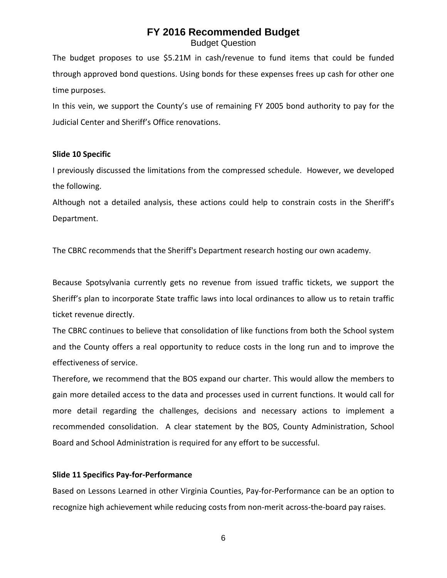Budget Question

The budget proposes to use \$5.21M in cash/revenue to fund items that could be funded through approved bond questions. Using bonds for these expenses frees up cash for other one time purposes.

In this vein, we support the County's use of remaining FY 2005 bond authority to pay for the Judicial Center and Sheriff's Office renovations.

#### **Slide 10 Specific**

I previously discussed the limitations from the compressed schedule. However, we developed the following.

Although not a detailed analysis, these actions could help to constrain costs in the Sheriff's Department.

The CBRC recommends that the Sheriff's Department research hosting our own academy.

Because Spotsylvania currently gets no revenue from issued traffic tickets, we support the Sheriff's plan to incorporate State traffic laws into local ordinances to allow us to retain traffic ticket revenue directly.

The CBRC continues to believe that consolidation of like functions from both the School system and the County offers a real opportunity to reduce costs in the long run and to improve the effectiveness of service.

Therefore, we recommend that the BOS expand our charter. This would allow the members to gain more detailed access to the data and processes used in current functions. It would call for more detail regarding the challenges, decisions and necessary actions to implement a recommended consolidation. A clear statement by the BOS, County Administration, School Board and School Administration is required for any effort to be successful.

### **Slide 11 Specifics Pay-for-Performance**

Based on Lessons Learned in other Virginia Counties, Pay-for-Performance can be an option to recognize high achievement while reducing costs from non-merit across-the-board pay raises.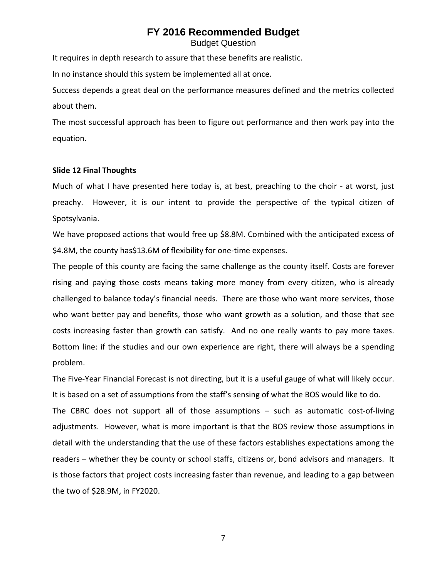Budget Question

It requires in depth research to assure that these benefits are realistic.

In no instance should this system be implemented all at once.

Success depends a great deal on the performance measures defined and the metrics collected about them.

The most successful approach has been to figure out performance and then work pay into the equation.

#### **Slide 12 Final Thoughts**

Much of what I have presented here today is, at best, preaching to the choir - at worst, just preachy. However, it is our intent to provide the perspective of the typical citizen of Spotsylvania.

We have proposed actions that would free up \$8.8M. Combined with the anticipated excess of \$4.8M, the county has\$13.6M of flexibility for one-time expenses.

The people of this county are facing the same challenge as the county itself. Costs are forever rising and paying those costs means taking more money from every citizen, who is already challenged to balance today's financial needs. There are those who want more services, those who want better pay and benefits, those who want growth as a solution, and those that see costs increasing faster than growth can satisfy. And no one really wants to pay more taxes. Bottom line: if the studies and our own experience are right, there will always be a spending problem.

The Five-Year Financial Forecast is not directing, but it is a useful gauge of what will likely occur. It is based on a set of assumptions from the staff's sensing of what the BOS would like to do.

The CBRC does not support all of those assumptions – such as automatic cost-of-living adjustments. However, what is more important is that the BOS review those assumptions in detail with the understanding that the use of these factors establishes expectations among the readers – whether they be county or school staffs, citizens or, bond advisors and managers. It is those factors that project costs increasing faster than revenue, and leading to a gap between the two of \$28.9M, in FY2020.